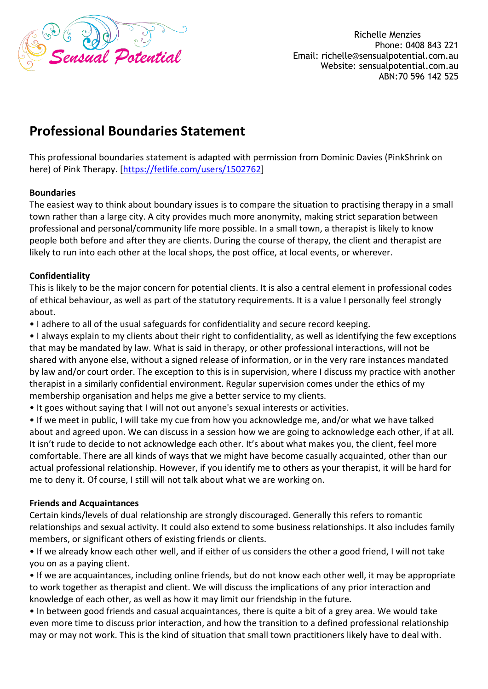

Richelle Menzies Phone: 0408 843 221 Email: richelle@sensualpotential.com.au Website: sensualpotential.com.au ABN:70 596 142 525

# **Professional Boundaries Statement**

This professional boundaries statement is adapted with permission from Dominic Davies (PinkShrink on here) of Pink Therapy. [\[https://fetlife.com/users/1502762\]](https://fetlife.com/users/1502762)

### **Boundaries**

The easiest way to think about boundary issues is to compare the situation to practising therapy in a small town rather than a large city. A city provides much more anonymity, making strict separation between professional and personal/community life more possible. In a small town, a therapist is likely to know people both before and after they are clients. During the course of therapy, the client and therapist are likely to run into each other at the local shops, the post office, at local events, or wherever.

#### **Confidentiality**

This is likely to be the major concern for potential clients. It is also a central element in professional codes of ethical behaviour, as well as part of the statutory requirements. It is a value I personally feel strongly about.

• I adhere to all of the usual safeguards for confidentiality and secure record keeping.

• I always explain to my clients about their right to confidentiality, as well as identifying the few exceptions that may be mandated by law. What is said in therapy, or other professional interactions, will not be shared with anyone else, without a signed release of information, or in the very rare instances mandated by law and/or court order. The exception to this is in supervision, where I discuss my practice with another therapist in a similarly confidential environment. Regular supervision comes under the ethics of my membership organisation and helps me give a better service to my clients.

• It goes without saying that I will not out anyone's sexual interests or activities.

• If we meet in public, I will take my cue from how you acknowledge me, and/or what we have talked about and agreed upon. We can discuss in a session how we are going to acknowledge each other, if at all. It isn't rude to decide to not acknowledge each other. It's about what makes you, the client, feel more comfortable. There are all kinds of ways that we might have become casually acquainted, other than our actual professional relationship. However, if you identify me to others as your therapist, it will be hard for me to deny it. Of course, I still will not talk about what we are working on.

#### **Friends and Acquaintances**

Certain kinds/levels of dual relationship are strongly discouraged. Generally this refers to romantic relationships and sexual activity. It could also extend to some business relationships. It also includes family members, or significant others of existing friends or clients.

• If we already know each other well, and if either of us considers the other a good friend, I will not take you on as a paying client.

• If we are acquaintances, including online friends, but do not know each other well, it may be appropriate to work together as therapist and client. We will discuss the implications of any prior interaction and knowledge of each other, as well as how it may limit our friendship in the future.

• In between good friends and casual acquaintances, there is quite a bit of a grey area. We would take even more time to discuss prior interaction, and how the transition to a defined professional relationship may or may not work. This is the kind of situation that small town practitioners likely have to deal with.